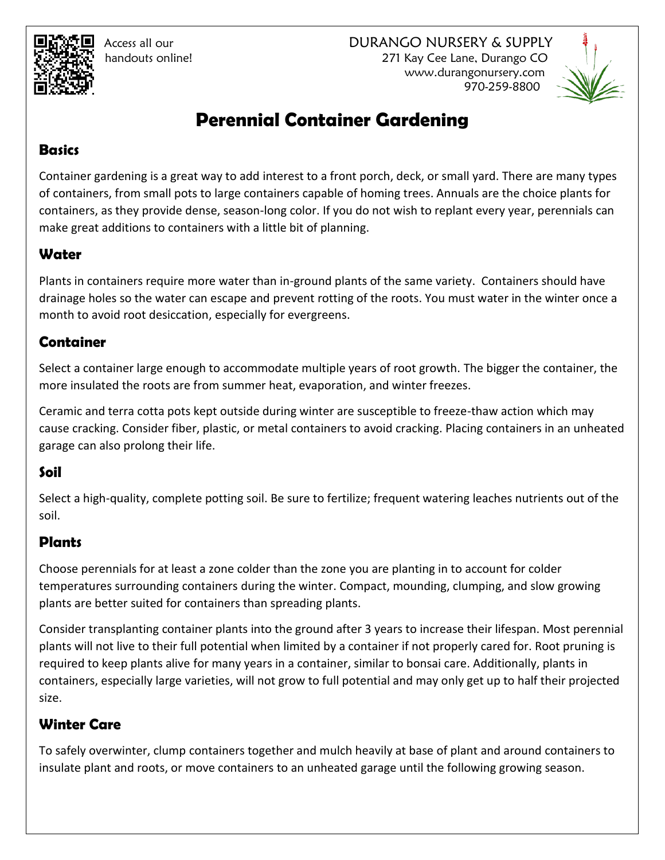Access all our DURANGO NURSERY & SUPPLY handouts online! 271 Kay Cee Lane, Durango CO www.durangonursery.com 970-259-8800



# **Perennial Container Gardening**

#### **Basics**

Container gardening is a great way to add interest to a front porch, deck, or small yard. There are many types of containers, from small pots to large containers capable of homing trees. Annuals are the choice plants for containers, as they provide dense, season-long color. If you do not wish to replant every year, perennials can make great additions to containers with a little bit of planning.

# **Water**

Plants in containers require more water than in-ground plants of the same variety. Containers should have drainage holes so the water can escape and prevent rotting of the roots. You must water in the winter once a month to avoid root desiccation, especially for evergreens.

### **Container**

Select a container large enough to accommodate multiple years of root growth. The bigger the container, the more insulated the roots are from summer heat, evaporation, and winter freezes.

Ceramic and terra cotta pots kept outside during winter are susceptible to freeze-thaw action which may cause cracking. Consider fiber, plastic, or metal containers to avoid cracking. Placing containers in an unheated garage can also prolong their life.

#### **Soil**

Select a high-quality, complete potting soil. Be sure to fertilize; frequent watering leaches nutrients out of the soil.

# **Plants**

Choose perennials for at least a zone colder than the zone you are planting in to account for colder temperatures surrounding containers during the winter. Compact, mounding, clumping, and slow growing plants are better suited for containers than spreading plants.

Consider transplanting container plants into the ground after 3 years to increase their lifespan. Most perennial plants will not live to their full potential when limited by a container if not properly cared for. Root pruning is required to keep plants alive for many years in a container, similar to bonsai care. Additionally, plants in containers, especially large varieties, will not grow to full potential and may only get up to half their projected size.

# **Winter Care**

To safely overwinter, clump containers together and mulch heavily at base of plant and around containers to insulate plant and roots, or move containers to an unheated garage until the following growing season.